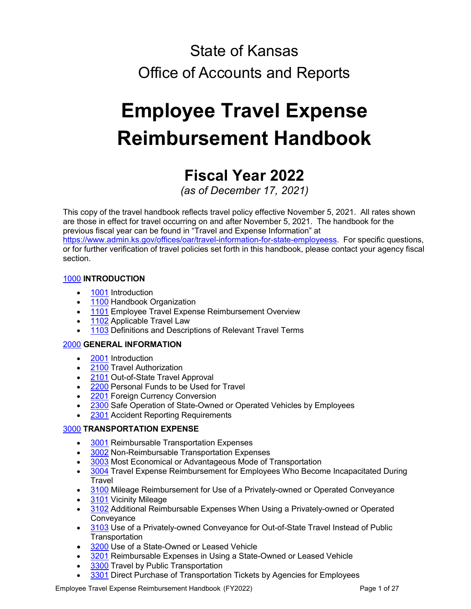# State of Kansas Office of Accounts and Reports

# **Employee Travel Expense Reimbursement Handbook**

# **Fiscal Year 2022**

*(as of December 17, 2021)*

This copy of the travel handbook reflects travel policy effective November 5, 2021. All rates shown are those in effect for travel occurring on and after November 5, 2021. The handbook for the previous fiscal year can be found in "Travel and Expense Information" at [https://www.admin.ks.gov/offices/oar/travel-information-for-state-employeess.](https://www.admin.ks.gov/offices/oar/travel-information-for-state-employeess) For specific questions, or for further verification of travel policies set forth in this handbook, please contact your agency fiscal section.

# [1000](#page-1-0) **INTRODUCTION**

- [1001](#page-2-0) Introduction
- [1100](#page-2-1) Handbook Organization
- [1101](#page-2-2) Employee Travel Expense Reimbursement Overview
- [1102](#page-2-3) Applicable Travel Law
- [1103](#page-2-4) Definitions and Descriptions of Relevant Travel Terms

# [2000](#page-4-0) **GENERAL INFORMATION**

- [2001](#page-4-1) Introduction
- [2100](#page-4-2) Travel Authorization
- [2101](#page-4-3) Out-of-State Travel Approval
- [2200](#page-5-0) Personal Funds to be Used for Travel
- [2201](#page-6-0) Foreign Currency Conversion
- [2300](#page-6-1) Safe Operation of State-Owned or Operated Vehicles by Employees
- [2301](#page-6-2) Accident Reporting Requirements

# [3000](#page-7-0) **TRANSPORTATION EXPENSE**

- **[3001](#page-7-1)** Reimbursable Transportation Expenses
- [3002](#page-7-2) Non-Reimbursable Transportation Expenses
- [3003](#page-7-3) Most Economical or Advantageous Mode of Transportation
- [3004](#page-7-4) Travel Expense Reimbursement for Employees Who Become Incapacitated During **Travel**
- [3100](#page-7-5) Mileage Reimbursement for Use of a Privately-owned or Operated Conveyance
- [3101](#page-8-0) Vicinity Mileage
- [3102](#page-9-0) Additional Reimbursable Expenses When Using a Privately-owned or Operated **Conveyance**
- [3103](#page-9-1) Use of a Privately-owned Conveyance for Out-of-State Travel Instead of Public **Transportation**
- [3200](#page-10-0) Use of a State-Owned or Leased Vehicle
- [3201](#page-10-1) Reimbursable Expenses in Using a State-Owned or Leased Vehicle
- [3300](#page-10-2) Travel by Public Transportation
- [3301](#page-11-0) Direct Purchase of Transportation Tickets by Agencies for Employees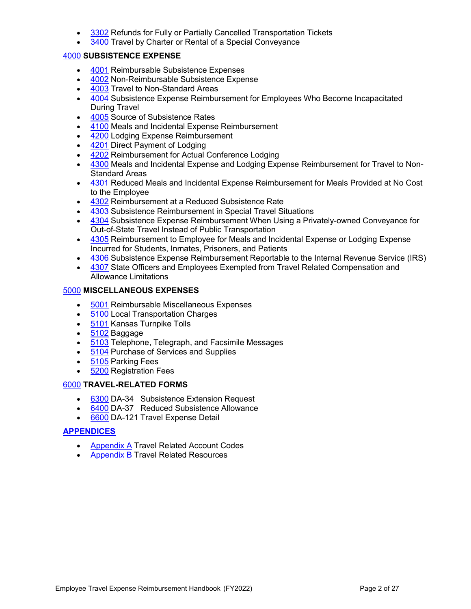- [3302](#page-11-1) Refunds for Fully or Partially Cancelled Transportation Tickets
- [3400](#page-12-0) Travel by Charter or Rental of a Special Conveyance

# [4000](#page-12-1) **SUBSISTENCE EXPENSE**

- [4001](#page-12-2) Reimbursable Subsistence Expenses
- [4002](#page-13-0) Non-Reimbursable Subsistence Expense
- [4003](#page-13-1) Travel to Non-Standard Areas
- [4004](#page-13-2) Subsistence Expense Reimbursement for Employees Who Become Incapacitated During Travel
- [4005](#page-13-3) Source of Subsistence Rates
- [4100](#page-14-0) Meals and Incidental Expense Reimbursement
- [4200](#page-15-0) Lodging Expense Reimbursement
- [4201](#page-17-0) Direct Payment of Lodging
- [4202](#page-17-1) Reimbursement for Actual Conference Lodging
- [4300](#page-18-0) Meals and Incidental Expense and Lodging Expense Reimbursement for Travel to Non-Standard Areas
- [4301](#page-18-1) Reduced Meals and Incidental Expense Reimbursement for Meals Provided at No Cost to the Employee
- [4302](#page-18-2) Reimbursement at a Reduced Subsistence Rate
- [4303](#page-19-0) Subsistence Reimbursement in Special Travel Situations
- [4304](#page-19-1) Subsistence Expense Reimbursement When Using a Privately-owned Conveyance for Out-of-State Travel Instead of Public Transportation
- [4305](#page-19-2) Reimbursement to Employee for Meals and Incidental Expense or Lodging Expense Incurred for Students, Inmates, Prisoners, and Patients
- [4306](#page-20-0) Subsistence Expense Reimbursement Reportable to the Internal Revenue Service (IRS)
- [4307](#page-20-1) State Officers and Employees Exempted from Travel Related Compensation and Allowance Limitations

# [5000](#page-20-2) **MISCELLANEOUS EXPENSES**

- [5001](#page-20-3) Reimbursable Miscellaneous Expenses
- [5100](#page-20-4) Local Transportation Charges
- [5101](#page-21-0) Kansas Turnpike Tolls
- [5102](#page-21-1) Baggage
- [5103](#page-21-2) Telephone, Telegraph, and Facsimile Messages
- [5104](#page-21-3) Purchase of Services and Supplies
- [5105](#page-21-4) Parking Fees
- [5200](#page-21-5) Registration Fees

# [6000](#page-22-0) **TRAVEL-RELATED FORMS**

- [6300](#page-22-1) DA-34 Subsistence Extension Request
- [6400](#page-22-2) DA-37 Reduced Subsistence Allowance
- [6600](#page-23-0) DA-121 Travel Expense Detail

# **[APPENDICES](#page-1-1)**

- [Appendix A](#page-23-1) Travel Related Account Codes
- <span id="page-1-1"></span><span id="page-1-0"></span>• [Appendix B](#page-25-0) Travel Related Resources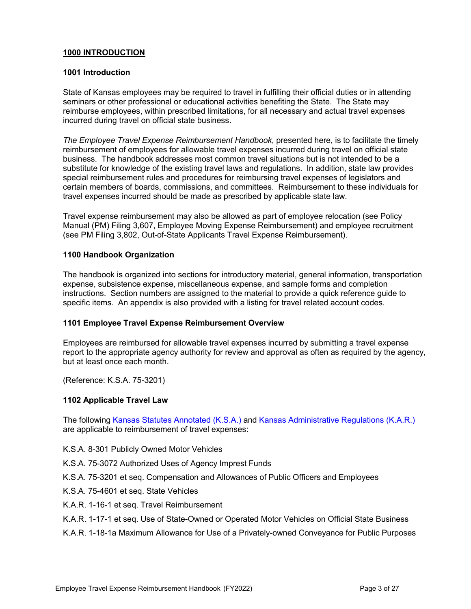# **1000 INTRODUCTION**

### <span id="page-2-0"></span>**1001 Introduction**

State of Kansas employees may be required to travel in fulfilling their official duties or in attending seminars or other professional or educational activities benefiting the State. The State may reimburse employees, within prescribed limitations, for all necessary and actual travel expenses incurred during travel on official state business.

*The Employee Travel Expense Reimbursement Handbook*, presented here, is to facilitate the timely reimbursement of employees for allowable travel expenses incurred during travel on official state business. The handbook addresses most common travel situations but is not intended to be a substitute for knowledge of the existing travel laws and regulations. In addition, state law provides special reimbursement rules and procedures for reimbursing travel expenses of legislators and certain members of boards, commissions, and committees. Reimbursement to these individuals for travel expenses incurred should be made as prescribed by applicable state law.

Travel expense reimbursement may also be allowed as part of employee relocation (see Policy Manual (PM) Filing 3,607, Employee Moving Expense Reimbursement) and employee recruitment (see PM Filing 3,802, Out-of-State Applicants Travel Expense Reimbursement).

#### <span id="page-2-1"></span>**1100 Handbook Organization**

The handbook is organized into sections for introductory material, general information, transportation expense, subsistence expense, miscellaneous expense, and sample forms and completion instructions. Section numbers are assigned to the material to provide a quick reference guide to specific items. An appendix is also provided with a listing for travel related account codes.

# <span id="page-2-2"></span>**1101 Employee Travel Expense Reimbursement Overview**

Employees are reimbursed for allowable travel expenses incurred by submitting a travel expense report to the appropriate agency authority for review and approval as often as required by the agency, but at least once each month.

(Reference: K.S.A. 75-3201)

# <span id="page-2-3"></span>**1102 Applicable Travel Law**

The following [Kansas Statutes Annotated \(K.S.A.\)](http://www.kslegislature.org/li/b2017_18/statute/) and [Kansas Administrative](http://kssos.org/pubs/pubs_kar.aspx) Regulations (K.A.R.) are applicable to reimbursement of travel expenses:

- K.S.A. 8-301 Publicly Owned Motor Vehicles
- K.S.A. 75-3072 Authorized Uses of Agency Imprest Funds
- K.S.A. 75-3201 et seq. Compensation and Allowances of Public Officers and Employees
- K.S.A. 75-4601 et seq. State Vehicles
- K.A.R. 1-16-1 et seq. Travel Reimbursement
- K.A.R. 1-17-1 et seq. Use of State-Owned or Operated Motor Vehicles on Official State Business
- <span id="page-2-4"></span>K.A.R. 1-18-1a Maximum Allowance for Use of a Privately-owned Conveyance for Public Purposes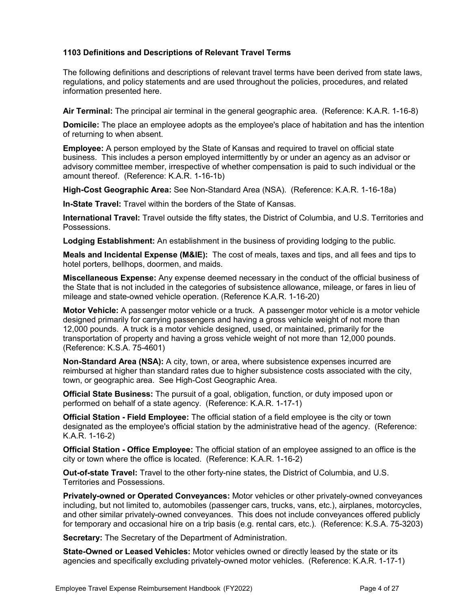# **1103 Definitions and Descriptions of Relevant Travel Terms**

The following definitions and descriptions of relevant travel terms have been derived from state laws, regulations, and policy statements and are used throughout the policies, procedures, and related information presented here.

**Air Terminal:** The principal air terminal in the general geographic area. (Reference: K.A.R. 1-16-8)

**Domicile:** The place an employee adopts as the employee's place of habitation and has the intention of returning to when absent.

**Employee:** A person employed by the State of Kansas and required to travel on official state business. This includes a person employed intermittently by or under an agency as an advisor or advisory committee member, irrespective of whether compensation is paid to such individual or the amount thereof. (Reference: K.A.R. 1-16-1b)

**High-Cost Geographic Area:** See Non-Standard Area (NSA). (Reference: K.A.R. 1-16-18a)

**In-State Travel:** Travel within the borders of the State of Kansas.

**International Travel:** Travel outside the fifty states, the District of Columbia, and U.S. Territories and Possessions.

**Lodging Establishment:** An establishment in the business of providing lodging to the public.

**Meals and Incidental Expense (M&IE):** The cost of meals, taxes and tips, and all fees and tips to hotel porters, bellhops, doormen, and maids.

**Miscellaneous Expense:** Any expense deemed necessary in the conduct of the official business of the State that is not included in the categories of subsistence allowance, mileage, or fares in lieu of mileage and state-owned vehicle operation. (Reference K.A.R. 1-16-20)

**Motor Vehicle:** A passenger motor vehicle or a truck. A passenger motor vehicle is a motor vehicle designed primarily for carrying passengers and having a gross vehicle weight of not more than 12,000 pounds. A truck is a motor vehicle designed, used, or maintained, primarily for the transportation of property and having a gross vehicle weight of not more than 12,000 pounds. (Reference: K.S.A. 75-4601)

**Non-Standard Area (NSA):** A city, town, or area, where subsistence expenses incurred are reimbursed at higher than standard rates due to higher subsistence costs associated with the city, town, or geographic area. See High-Cost Geographic Area.

**Official State Business:** The pursuit of a goal, obligation, function, or duty imposed upon or performed on behalf of a state agency. (Reference: K.A.R. 1-17-1)

**Official Station - Field Employee:** The official station of a field employee is the city or town designated as the employee's official station by the administrative head of the agency. (Reference: K.A.R. 1-16-2)

**Official Station - Office Employee:** The official station of an employee assigned to an office is the city or town where the office is located. (Reference: K.A.R. 1-16-2)

**Out-of-state Travel:** Travel to the other forty-nine states, the District of Columbia, and U.S. Territories and Possessions.

**Privately-owned or Operated Conveyances:** Motor vehicles or other privately-owned conveyances including, but not limited to, automobiles (passenger cars, trucks, vans, etc.), airplanes, motorcycles, and other similar privately-owned conveyances. This does not include conveyances offered publicly for temporary and occasional hire on a trip basis (e.g. rental cars, etc.). (Reference: K.S.A. 75-3203)

**Secretary:** The Secretary of the Department of Administration.

**State-Owned or Leased Vehicles:** Motor vehicles owned or directly leased by the state or its agencies and specifically excluding privately-owned motor vehicles. (Reference: K.A.R. 1-17-1)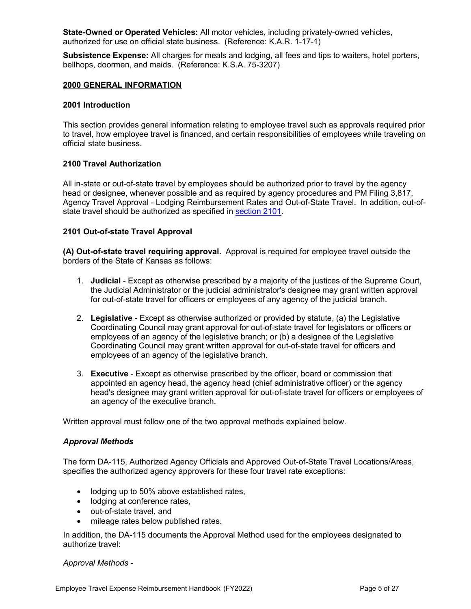**State-Owned or Operated Vehicles:** All motor vehicles, including privately-owned vehicles, authorized for use on official state business. (Reference: K.A.R. 1-17-1)

<span id="page-4-0"></span>**Subsistence Expense:** All charges for meals and lodging, all fees and tips to waiters, hotel porters, bellhops, doormen, and maids. (Reference: K.S.A. 75-3207)

#### **2000 GENERAL INFORMATION**

#### <span id="page-4-1"></span>**2001 Introduction**

<span id="page-4-2"></span>This section provides general information relating to employee travel such as approvals required prior to travel, how employee travel is financed, and certain responsibilities of employees while traveling on official state business.

#### **2100 Travel Authorization**

All in-state or out-of-state travel by employees should be authorized prior to travel by the agency head or designee, whenever possible and as required by agency procedures and PM Filing 3,817, Agency Travel Approval - Lodging Reimbursement Rates and Out-of-State Travel. In addition, out-ofstate travel should be authorized as specified i[n section 2101.](#page-4-3)

#### <span id="page-4-3"></span>**2101 Out-of-state Travel Approval**

<span id="page-4-4"></span>**(A) Out-of-state travel requiring approval.** Approval is required for employee travel outside the borders of the State of Kansas as follows:

- 1. **Judicial** Except as otherwise prescribed by a majority of the justices of the Supreme Court, the Judicial Administrator or the judicial administrator's designee may grant written approval for out-of-state travel for officers or employees of any agency of the judicial branch.
- 2. **Legislative** Except as otherwise authorized or provided by statute, (a) the Legislative Coordinating Council may grant approval for out-of-state travel for legislators or officers or employees of an agency of the legislative branch; or (b) a designee of the Legislative Coordinating Council may grant written approval for out-of-state travel for officers and employees of an agency of the legislative branch.
- 3. **Executive** Except as otherwise prescribed by the officer, board or commission that appointed an agency head, the agency head (chief administrative officer) or the agency head's designee may grant written approval for out-of-state travel for officers or employees of an agency of the executive branch.

Written approval must follow one of the two approval methods explained below.

# *Approval Methods*

The form DA-115, Authorized Agency Officials and Approved Out-of-State Travel Locations/Areas, specifies the authorized agency approvers for these four travel rate exceptions:

- lodging up to 50% above established rates,
- lodging at conference rates.
- out-of-state travel, and
- mileage rates below published rates.

In addition, the DA-115 documents the Approval Method used for the employees designated to authorize travel:

#### *Approval Methods -*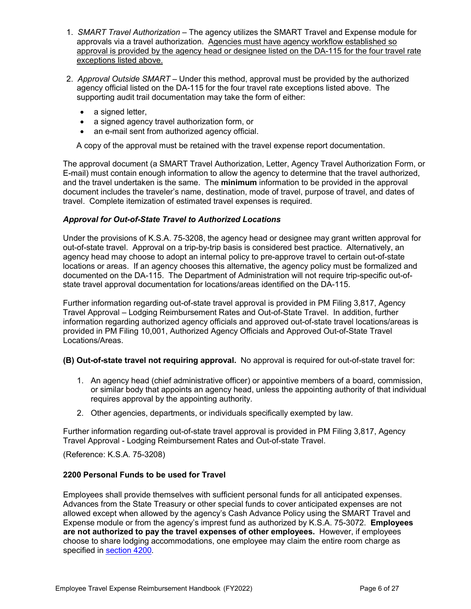- 1. *SMART Travel Authorization* The agency utilizes the SMART Travel and Expense module for approvals via a travel authorization. Agencies must have agency workflow established so approval is provided by the agency head or designee listed on the DA-115 for the four travel rate exceptions listed above.
- 2. *Approval Outside SMART* Under this method, approval must be provided by the authorized agency official listed on the DA-115 for the four travel rate exceptions listed above. The supporting audit trail documentation may take the form of either:
	- a signed letter,
	- a signed agency travel authorization form, or
	- an e-mail sent from authorized agency official.

A copy of the approval must be retained with the travel expense report documentation.

The approval document (a SMART Travel Authorization, Letter, Agency Travel Authorization Form, or E-mail) must contain enough information to allow the agency to determine that the travel authorized, and the travel undertaken is the same. The **minimum** information to be provided in the approval document includes the traveler's name, destination, mode of travel, purpose of travel, and dates of travel. Complete itemization of estimated travel expenses is required.

# *Approval for Out-of-State Travel to Authorized Locations*

Under the provisions of K.S.A. 75-3208, the agency head or designee may grant written approval for out-of-state travel. Approval on a trip-by-trip basis is considered best practice. Alternatively, an agency head may choose to adopt an internal policy to pre-approve travel to certain out-of-state locations or areas. If an agency chooses this alternative, the agency policy must be formalized and documented on the DA-115. The Department of Administration will not require trip-specific out-ofstate travel approval documentation for locations/areas identified on the DA-115.

Further information regarding out-of-state travel approval is provided in PM Filing 3,817, Agency Travel Approval – Lodging Reimbursement Rates and Out-of-State Travel. In addition, further information regarding authorized agency officials and approved out-of-state travel locations/areas is provided in PM Filing 10,001, Authorized Agency Officials and Approved Out-of-State Travel Locations/Areas.

**(B) Out-of-state travel not requiring approval.** No approval is required for out-of-state travel for:

- 1. An agency head (chief administrative officer) or appointive members of a board, commission, or similar body that appoints an agency head, unless the appointing authority of that individual requires approval by the appointing authority.
- 2. Other agencies, departments, or individuals specifically exempted by law.

Further information regarding out-of-state travel approval is provided in PM Filing 3,817, Agency Travel Approval - Lodging Reimbursement Rates and Out-of-state Travel.

(Reference: K.S.A. 75-3208)

#### <span id="page-5-0"></span>**2200 Personal Funds to be used for Travel**

Employees shall provide themselves with sufficient personal funds for all anticipated expenses. Advances from the State Treasury or other special funds to cover anticipated expenses are not allowed except when allowed by the agency's Cash Advance Policy using the SMART Travel and Expense module or from the agency's imprest fund as authorized by K.S.A. 75-3072. **Employees are not authorized to pay the travel expenses of other employees.** However, if employees choose to share lodging accommodations, one employee may claim the entire room charge as specified in [section 4200.](#page-15-0)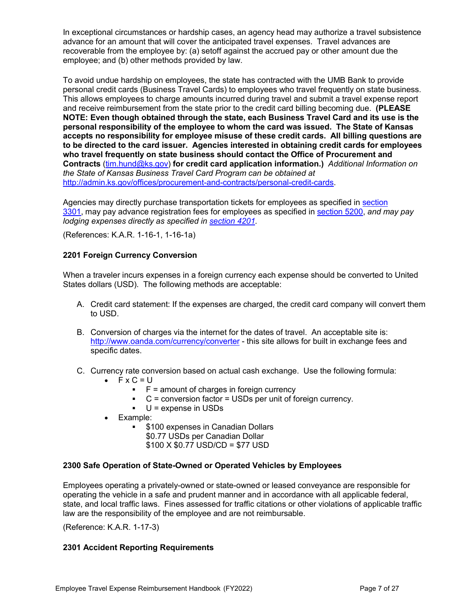In exceptional circumstances or hardship cases, an agency head may authorize a travel subsistence advance for an amount that will cover the anticipated travel expenses. Travel advances are recoverable from the employee by: (a) setoff against the accrued pay or other amount due the employee; and (b) other methods provided by law.

To avoid undue hardship on employees, the state has contracted with the UMB Bank to provide personal credit cards (Business Travel Cards) to employees who travel frequently on state business. This allows employees to charge amounts incurred during travel and submit a travel expense report and receive reimbursement from the state prior to the credit card billing becoming due. **(PLEASE NOTE: Even though obtained through the state, each Business Travel Card and its use is the personal responsibility of the employee to whom the card was issued. The State of Kansas accepts no responsibility for employee misuse of these credit cards. All billing questions are to be directed to the card issuer. Agencies interested in obtaining credit cards for employees who travel frequently on state business should contact the Office of Procurement and Contracts** [\(tim.hund@ks.gov\)](mailto:tim.hund@ks.gov) **for credit card application information.)** *Additional Information on the State of Kansas Business Travel Card Program can be obtained at* [http://admin.ks.gov/offices/procurement-and-contracts/personal-credit-cards.](http://admin.ks.gov/offices/procurement-and-contracts/personal-credit-cards/)

Agencies may directly purchase transportation tickets for employees as specified in [section](#page-11-0)  [3301,](#page-11-0) may pay advance registration fees for employees as specified in [section 5200,](#page-21-5) *and may pay lodging expenses directly as specified in [section 4201.](#page-17-0)* 

(References: K.A.R. 1-16-1, 1-16-1a)

# <span id="page-6-0"></span>**2201 Foreign Currency Conversion**

When a traveler incurs expenses in a foreign currency each expense should be converted to United States dollars (USD). The following methods are acceptable:

- A. Credit card statement: If the expenses are charged, the credit card company will convert them to USD.
- B. Conversion of charges via the internet for the dates of travel. An acceptable site is: <http://www.oanda.com/currency/converter>- this site allows for built in exchange fees and specific dates.
- C. Currency rate conversion based on actual cash exchange. Use the following formula:
	- $\mathsf{F} \times \mathsf{C} = \mathsf{U}$ 
		- $\blacksquare$   $\blacksquare$   $\blacksquare$  = amount of charges in foreign currency
		- $C =$  conversion factor = USDs per unit of foreign currency.
		- $\bullet$  U = expense in USDs
	- Example:
		- \$100 expenses in Canadian Dollars
			- \$0.77 USDs per Canadian Dollar
			- \$100 X \$0.77 USD/CD = \$77 USD

# <span id="page-6-1"></span>**2300 Safe Operation of State-Owned or Operated Vehicles by Employees**

Employees operating a privately-owned or state-owned or leased conveyance are responsible for operating the vehicle in a safe and prudent manner and in accordance with all applicable federal, state, and local traffic laws. Fines assessed for traffic citations or other violations of applicable traffic law are the responsibility of the employee and are not reimbursable.

(Reference: K.A.R. 1-17-3)

# <span id="page-6-2"></span>**2301 Accident Reporting Requirements**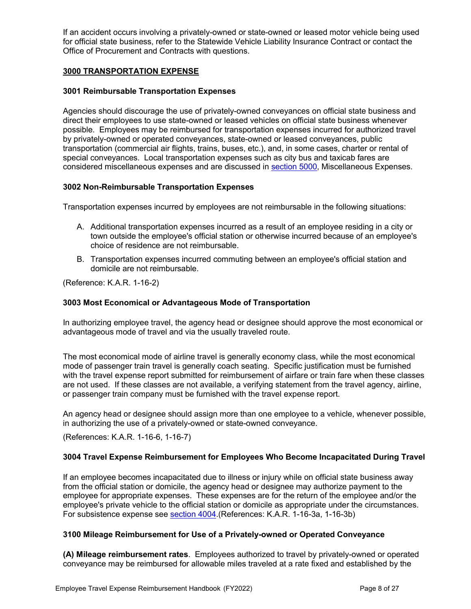If an accident occurs involving a privately-owned or state-owned or leased motor vehicle being used for official state business, refer to the Statewide Vehicle Liability Insurance Contract or contact the Office of Procurement and Contracts with questions.

# <span id="page-7-0"></span>**3000 TRANSPORTATION EXPENSE**

# <span id="page-7-1"></span>**3001 Reimbursable Transportation Expenses**

Agencies should discourage the use of privately-owned conveyances on official state business and direct their employees to use state-owned or leased vehicles on official state business whenever possible. Employees may be reimbursed for transportation expenses incurred for authorized travel by privately-owned or operated conveyances, state-owned or leased conveyances, public transportation (commercial air flights, trains, buses, etc.), and, in some cases, charter or rental of special conveyances. Local transportation expenses such as city bus and taxicab fares are considered miscellaneous expenses and are discussed in [section 5000,](#page-20-2) Miscellaneous Expenses.

# <span id="page-7-2"></span>**3002 Non-Reimbursable Transportation Expenses**

Transportation expenses incurred by employees are not reimbursable in the following situations:

- A. Additional transportation expenses incurred as a result of an employee residing in a city or town outside the employee's official station or otherwise incurred because of an employee's choice of residence are not reimbursable.
- B. Transportation expenses incurred commuting between an employee's official station and domicile are not reimbursable.

(Reference: K.A.R. 1-16-2)

# <span id="page-7-3"></span>**3003 Most Economical or Advantageous Mode of Transportation**

In authorizing employee travel, the agency head or designee should approve the most economical or advantageous mode of travel and via the usually traveled route.

The most economical mode of airline travel is generally economy class, while the most economical mode of passenger train travel is generally coach seating. Specific justification must be furnished with the travel expense report submitted for reimbursement of airfare or train fare when these classes are not used. If these classes are not available, a verifying statement from the travel agency, airline, or passenger train company must be furnished with the travel expense report.

An agency head or designee should assign more than one employee to a vehicle, whenever possible, in authorizing the use of a privately-owned or state-owned conveyance.

(References: K.A.R. 1-16-6, 1-16-7)

# <span id="page-7-4"></span>**3004 Travel Expense Reimbursement for Employees Who Become Incapacitated During Travel**

If an employee becomes incapacitated due to illness or injury while on official state business away from the official station or domicile, the agency head or designee may authorize payment to the employee for appropriate expenses. These expenses are for the return of the employee and/or the employee's private vehicle to the official station or domicile as appropriate under the circumstances. For subsistence expense see [section 4004.](#page-13-2)(References: K.A.R. 1-16-3a, 1-16-3b)

# <span id="page-7-5"></span>**3100 Mileage Reimbursement for Use of a Privately-owned or Operated Conveyance**

**(A) Mileage reimbursement rates**. Employees authorized to travel by privately-owned or operated conveyance may be reimbursed for allowable miles traveled at a rate fixed and established by the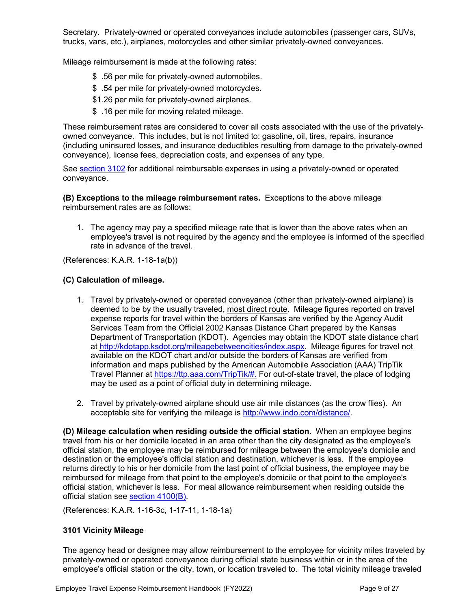Secretary. Privately-owned or operated conveyances include automobiles (passenger cars, SUVs, trucks, vans, etc.), airplanes, motorcycles and other similar privately-owned conveyances.

Mileage reimbursement is made at the following rates:

- \$ .56 per mile for privately-owned automobiles.
- \$ .54 per mile for privately-owned motorcycles.
- \$1.26 per mile for privately-owned airplanes.
- \$ .16 per mile for moving related mileage.

These reimbursement rates are considered to cover all costs associated with the use of the privatelyowned conveyance. This includes, but is not limited to: gasoline, oil, tires, repairs, insurance (including uninsured losses, and insurance deductibles resulting from damage to the privately-owned conveyance), license fees, depreciation costs, and expenses of any type.

See [section](#page-9-0) 3102 for additional reimbursable expenses in using a privately-owned or operated conveyance.

**(B) Exceptions to the mileage reimbursement rates.** Exceptions to the above mileage reimbursement rates are as follows:

1. The agency may pay a specified mileage rate that is lower than the above rates when an employee's travel is not required by the agency and the employee is informed of the specified rate in advance of the travel.

(References: K.A.R. 1-18-1a(b))

#### <span id="page-8-1"></span>**(C) Calculation of mileage.**

- 1. Travel by privately-owned or operated conveyance (other than privately-owned airplane) is deemed to be by the usually traveled, most direct route. Mileage figures reported on travel expense reports for travel within the borders of Kansas are verified by the Agency Audit Services Team from the Official 2002 Kansas Distance Chart prepared by the Kansas Department of Transportation (KDOT). Agencies may obtain the KDOT state distance chart at [http://kdotapp.ksdot.org/mileagebetweencities/index.aspx.](http://kdotapp.ksdot.org/mileagebetweencities/index.aspx) Mileage figures for travel not available on the KDOT chart and/or outside the borders of Kansas are verified from information and maps published by the American Automobile Association (AAA) TripTik Travel Planner at [https://ttp.aaa.com/TripTik/#.](https://ttp.aaa.com/TripTik/) For out-of-state travel, the place of lodging may be used as a point of official duty in determining mileage.
- 2. Travel by privately-owned airplane should use air mile distances (as the crow flies). An acceptable site for verifying the mileage i[s http://www.indo.com/distance/.](http://www.indo.com/distance/)

<span id="page-8-2"></span>**(D) Mileage calculation when residing outside the official station.** When an employee begins travel from his or her domicile located in an area other than the city designated as the employee's official station, the employee may be reimbursed for mileage between the employee's domicile and destination or the employee's official station and destination, whichever is less. If the employee returns directly to his or her domicile from the last point of official business, the employee may be reimbursed for mileage from that point to the employee's domicile or that point to the employee's official station, whichever is less. For meal allowance reimbursement when residing outside the official station see [section 4100\(B\).](#page-14-1)

(References: K.A.R. 1-16-3c, 1-17-11, 1-18-1a)

# <span id="page-8-0"></span>**3101 Vicinity Mileage**

The agency head or designee may allow reimbursement to the employee for vicinity miles traveled by privately-owned or operated conveyance during official state business within or in the area of the employee's official station or the city, town, or location traveled to. The total vicinity mileage traveled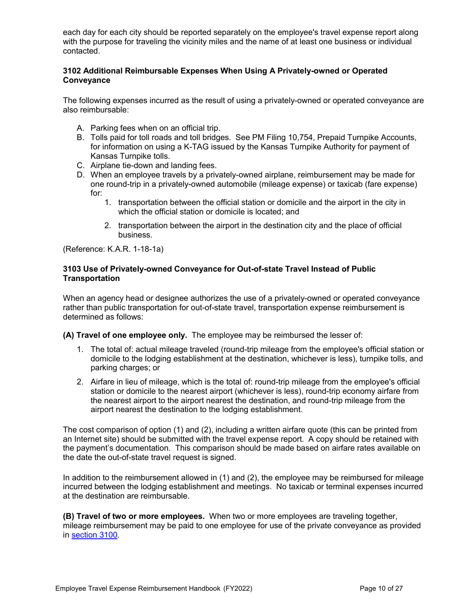each day for each city should be reported separately on the employee's travel expense report along with the purpose for traveling the vicinity miles and the name of at least one business or individual contacted.

# <span id="page-9-0"></span>**3102 Additional Reimbursable Expenses When Using A Privately-owned or Operated Conveyance**

The following expenses incurred as the result of using a privately-owned or operated conveyance are also reimbursable:

- A. Parking fees when on an official trip.
- B. Tolls paid for toll roads and toll bridges. See PM Filing 10,754, Prepaid Turnpike Accounts, for information on using a K-TAG issued by the Kansas Turnpike Authority for payment of Kansas Turnpike tolls.
- C. Airplane tie-down and landing fees.
- D. When an employee travels by a privately-owned airplane, reimbursement may be made for one round-trip in a privately-owned automobile (mileage expense) or taxicab (fare expense) for:
	- 1. transportation between the official station or domicile and the airport in the city in which the official station or domicile is located; and
	- 2. transportation between the airport in the destination city and the place of official business.

(Reference: K.A.R. 1-18-1a)

# <span id="page-9-1"></span>**3103 Use of Privately-owned Conveyance for Out-of-state Travel Instead of Public Transportation**

When an agency head or designee authorizes the use of a privately-owned or operated conveyance rather than public transportation for out-of-state travel, transportation expense reimbursement is determined as follows:

**(A) Travel of one employee only.** The employee may be reimbursed the lesser of:

- 1. The total of: actual mileage traveled (round-trip mileage from the employee's official station or domicile to the lodging establishment at the destination, whichever is less), turnpike tolls, and parking charges; or
- 2. Airfare in lieu of mileage, which is the total of: round-trip mileage from the employee's official station or domicile to the nearest airport (whichever is less), round-trip economy airfare from the nearest airport to the airport nearest the destination, and round-trip mileage from the airport nearest the destination to the lodging establishment.

The cost comparison of option (1) and (2), including a written airfare quote (this can be printed from an Internet site) should be submitted with the travel expense report. A copy should be retained with the payment's documentation. This comparison should be made based on airfare rates available on the date the out-of-state travel request is signed.

In addition to the reimbursement allowed in (1) and (2), the employee may be reimbursed for mileage incurred between the lodging establishment and meetings. No taxicab or terminal expenses incurred at the destination are reimbursable.

**(B) Travel of two or more employees.** When two or more employees are traveling together, mileage reimbursement may be paid to one employee for use of the private conveyance as provided in [section 3100.](#page-7-5)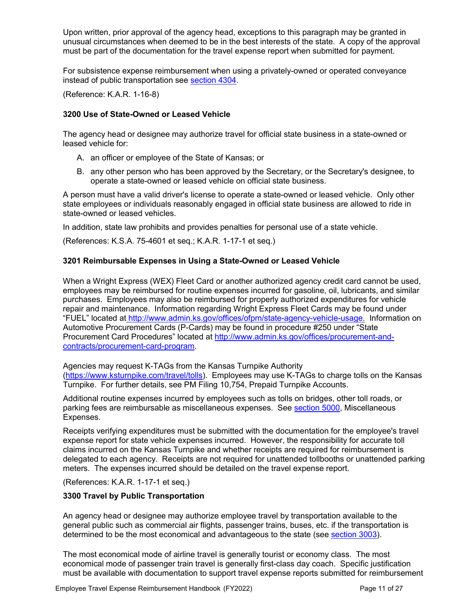Upon written, prior approval of the agency head, exceptions to this paragraph may be granted in unusual circumstances when deemed to be in the best interests of the state. A copy of the approval must be part of the documentation for the travel expense report when submitted for payment.

For subsistence expense reimbursement when using a privately-owned or operated conveyance instead of public transportation see [section 4304.](#page-19-1)

(Reference: K.A.R. 1-16-8)

# <span id="page-10-0"></span>**3200 Use of State-Owned or Leased Vehicle**

The agency head or designee may authorize travel for official state business in a state-owned or leased vehicle for:

- A. an officer or employee of the State of Kansas; or
- B. any other person who has been approved by the Secretary, or the Secretary's designee, to operate a state-owned or leased vehicle on official state business.

A person must have a valid driver's license to operate a state-owned or leased vehicle. Only other state employees or individuals reasonably engaged in official state business are allowed to ride in state-owned or leased vehicles.

In addition, state law prohibits and provides penalties for personal use of a state vehicle.

(References: K.S.A. 75-4601 et seq.; K.A.R. 1-17-1 et seq.)

# <span id="page-10-1"></span>**3201 Reimbursable Expenses in Using a State-Owned or Leased Vehicle**

When a Wright Express (WEX) Fleet Card or another authorized agency credit card cannot be used, employees may be reimbursed for routine expenses incurred for gasoline, oil, lubricants, and similar purchases. Employees may also be reimbursed for properly authorized expenditures for vehicle repair and maintenance. Information regarding Wright Express Fleet Cards may be found under "FUEL" located at [http://www.admin.ks.gov/offices/ofpm/state-agency-vehicle-usage.](http://www.admin.ks.gov/offices/ofpm/state-agency-vehicle-usage) Information on Automotive Procurement Cards (P-Cards) may be found in procedure #250 under "State Procurement Card Procedures" located at [http://www.admin.ks.gov/offices/procurement-and](http://www.admin.ks.gov/offices/procurement-and-contracts/procurement-card-program)[contracts/procurement-card-program.](http://www.admin.ks.gov/offices/procurement-and-contracts/procurement-card-program)

Agencies may request K-TAGs from the Kansas Turnpike Authority [\(https://www.ksturnpike.com/travel/tolls\)](https://www.ksturnpike.com/travel/tolls). Employees may use K-TAGs to charge tolls on the Kansas Turnpike. For further details, see PM Filing 10,754, Prepaid Turnpike Accounts.

Additional routine expenses incurred by employees such as tolls on bridges, other toll roads, or parking fees are reimbursable as miscellaneous expenses. See [section 5000,](http://www2.da.ks.gov/ar/employee/travel/travbkSMART11.htm#Section5000) Miscellaneous Expenses.

Receipts verifying expenditures must be submitted with the documentation for the employee's travel expense report for state vehicle expenses incurred. However, the responsibility for accurate toll claims incurred on the Kansas Turnpike and whether receipts are required for reimbursement is delegated to each agency. Receipts are not required for unattended tollbooths or unattended parking meters. The expenses incurred should be detailed on the travel expense report.

(References: K.A.R. 1-17-1 et seq.)

# <span id="page-10-2"></span>**3300 Travel by Public Transportation**

An agency head or designee may authorize employee travel by transportation available to the general public such as commercial air flights, passenger trains, buses, etc. if the transportation is determined to be the most economical and advantageous to the state (see [section](#page-7-3) 3003).

The most economical mode of airline travel is generally tourist or economy class. The most economical mode of passenger train travel is generally first-class day coach. Specific justification must be available with documentation to support travel expense reports submitted for reimbursement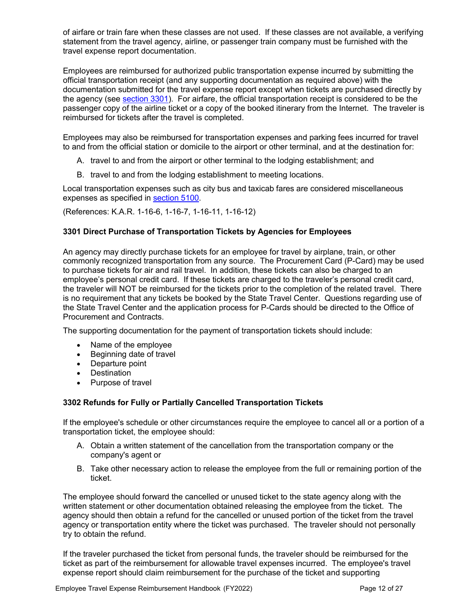of airfare or train fare when these classes are not used. If these classes are not available, a verifying statement from the travel agency, airline, or passenger train company must be furnished with the travel expense report documentation.

Employees are reimbursed for authorized public transportation expense incurred by submitting the official transportation receipt (and any supporting documentation as required above) with the documentation submitted for the travel expense report except when tickets are purchased directly by the agency (see [section 3301\)](#page-11-0). For airfare, the official transportation receipt is considered to be the passenger copy of the airline ticket or a copy of the booked itinerary from the Internet. The traveler is reimbursed for tickets after the travel is completed.

Employees may also be reimbursed for transportation expenses and parking fees incurred for travel to and from the official station or domicile to the airport or other terminal, and at the destination for:

- A. travel to and from the airport or other terminal to the lodging establishment; and
- B. travel to and from the lodging establishment to meeting locations.

Local transportation expenses such as city bus and taxicab fares are considered miscellaneous expenses as specified in [section](#page-20-4) 5100.

(References: K.A.R. 1-16-6, 1-16-7, 1-16-11, 1-16-12)

# <span id="page-11-0"></span>**3301 Direct Purchase of Transportation Tickets by Agencies for Employees**

An agency may directly purchase tickets for an employee for travel by airplane, train, or other commonly recognized transportation from any source. The Procurement Card (P-Card) may be used to purchase tickets for air and rail travel. In addition, these tickets can also be charged to an employee's personal credit card. If these tickets are charged to the traveler's personal credit card, the traveler will NOT be reimbursed for the tickets prior to the completion of the related travel. There is no requirement that any tickets be booked by the State Travel Center. Questions regarding use of the State Travel Center and the application process for P-Cards should be directed to the Office of Procurement and Contracts.

The supporting documentation for the payment of transportation tickets should include:

- Name of the employee
- Beginning date of travel
- Departure point
- <span id="page-11-1"></span>• Destination
- Purpose of travel

# **3302 Refunds for Fully or Partially Cancelled Transportation Tickets**

If the employee's schedule or other circumstances require the employee to cancel all or a portion of a transportation ticket, the employee should:

- A. Obtain a written statement of the cancellation from the transportation company or the company's agent or
- B. Take other necessary action to release the employee from the full or remaining portion of the ticket.

The employee should forward the cancelled or unused ticket to the state agency along with the written statement or other documentation obtained releasing the employee from the ticket. The agency should then obtain a refund for the cancelled or unused portion of the ticket from the travel agency or transportation entity where the ticket was purchased. The traveler should not personally try to obtain the refund.

If the traveler purchased the ticket from personal funds, the traveler should be reimbursed for the ticket as part of the reimbursement for allowable travel expenses incurred. The employee's travel expense report should claim reimbursement for the purchase of the ticket and supporting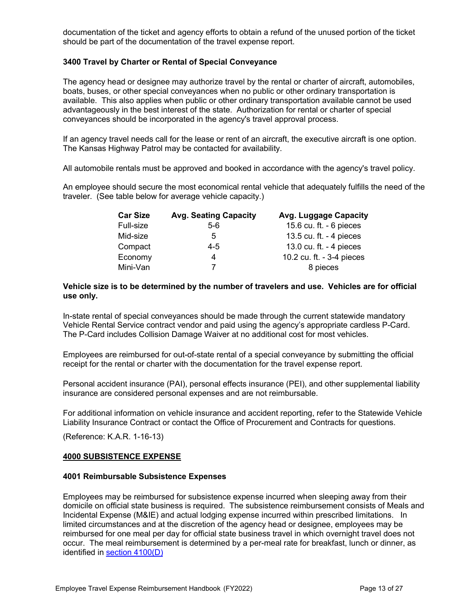documentation of the ticket and agency efforts to obtain a refund of the unused portion of the ticket should be part of the documentation of the travel expense report.

# <span id="page-12-0"></span>**3400 Travel by Charter or Rental of Special Conveyance**

The agency head or designee may authorize travel by the rental or charter of aircraft, automobiles, boats, buses, or other special conveyances when no public or other ordinary transportation is available. This also applies when public or other ordinary transportation available cannot be used advantageously in the best interest of the state. Authorization for rental or charter of special conveyances should be incorporated in the agency's travel approval process.

If an agency travel needs call for the lease or rent of an aircraft, the executive aircraft is one option. The Kansas Highway Patrol may be contacted for availability.

All automobile rentals must be approved and booked in accordance with the agency's travel policy.

An employee should secure the most economical rental vehicle that adequately fulfills the need of the traveler. (See table below for average vehicle capacity.)

| <b>Avg. Seating Capacity</b> | Avg. Luggage Capacity     |
|------------------------------|---------------------------|
| $5-6$                        | 15.6 cu. ft. - 6 pieces   |
| 5                            | 13.5 cu. ft. - 4 pieces   |
| 4-5                          | 13.0 cu. ft. - 4 pieces   |
| 4                            | 10.2 cu. ft. - 3-4 pieces |
|                              | 8 pieces                  |
|                              |                           |

#### **Vehicle size is to be determined by the number of travelers and use. Vehicles are for official use only.**

In-state rental of special conveyances should be made through the current statewide mandatory Vehicle Rental Service contract vendor and paid using the agency's appropriate cardless P-Card. The P-Card includes Collision Damage Waiver at no additional cost for most vehicles.

Employees are reimbursed for out-of-state rental of a special conveyance by submitting the official receipt for the rental or charter with the documentation for the travel expense report.

Personal accident insurance (PAI), personal effects insurance (PEI), and other supplemental liability insurance are considered personal expenses and are not reimbursable.

For additional information on vehicle insurance and accident reporting, refer to the Statewide Vehicle Liability Insurance Contract or contact the Office of Procurement and Contracts for questions.

(Reference: K.A.R. 1-16-13)

# <span id="page-12-1"></span>**4000 SUBSISTENCE EXPENSE**

#### <span id="page-12-2"></span>**4001 Reimbursable Subsistence Expenses**

Employees may be reimbursed for subsistence expense incurred when sleeping away from their domicile on official state business is required. The subsistence reimbursement consists of Meals and Incidental Expense (M&IE) and actual lodging expense incurred within prescribed limitations. In limited circumstances and at the discretion of the agency head or designee, employees may be reimbursed for one meal per day for official state business travel in which overnight travel does not occur. The meal reimbursement is determined by a per-meal rate for breakfast, lunch or dinner, as identified in [section 4100\(D\)](#page-15-1)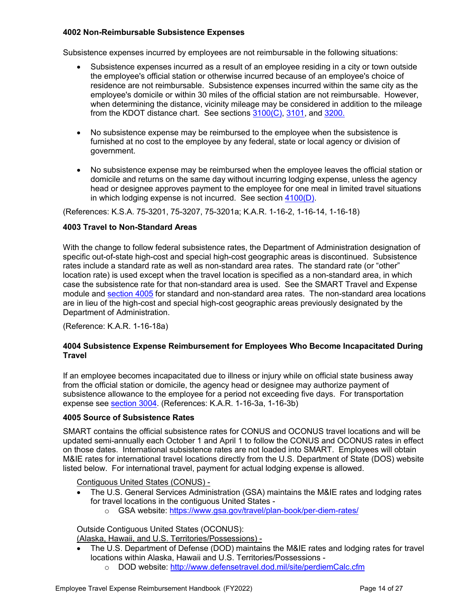# <span id="page-13-0"></span>**4002 Non-Reimbursable Subsistence Expenses**

Subsistence expenses incurred by employees are not reimbursable in the following situations:

- Subsistence expenses incurred as a result of an employee residing in a city or town outside the employee's official station or otherwise incurred because of an employee's choice of residence are not reimbursable. Subsistence expenses incurred within the same city as the employee's domicile or within 30 miles of the official station are not reimbursable. However, when determining the distance, vicinity mileage may be considered in addition to the mileage from the KDOT distance chart. See sections [3100\(C\),](#page-8-1) [3101,](#page-8-0) and [3200.](#page-10-0)
- No subsistence expense may be reimbursed to the employee when the subsistence is furnished at no cost to the employee by any federal, state or local agency or division of government.
- No subsistence expense may be reimbursed when the employee leaves the official station or domicile and returns on the same day without incurring lodging expense, unless the agency head or designee approves payment to the employee for one meal in limited travel situations in which lodging expense is not incurred. See section  $4100(D)$ .

(References: K.S.A. 75-3201, 75-3207, 75-3201a; K.A.R. 1-16-2, 1-16-14, 1-16-18)

#### <span id="page-13-1"></span>**4003 Travel to Non-Standard Areas**

With the change to follow federal subsistence rates, the Department of Administration designation of specific out-of-state high-cost and special high-cost geographic areas is discontinued. Subsistence rates include a standard rate as well as non-standard area rates. The standard rate (or "other" location rate) is used except when the travel location is specified as a non-standard area, in which case the subsistence rate for that non-standard area is used. See the SMART Travel and Expense module and [section 4005](#page-13-3) for standard and non-standard area rates. The non-standard area locations are in lieu of the high-cost and special high-cost geographic areas previously designated by the Department of Administration.

<span id="page-13-2"></span>(Reference: K.A.R. 1-16-18a)

# **4004 Subsistence Expense Reimbursement for Employees Who Become Incapacitated During Travel**

If an employee becomes incapacitated due to illness or injury while on official state business away from the official station or domicile, the agency head or designee may authorize payment of subsistence allowance to the employee for a period not exceeding five days. For transportation expense see [section 3004.](#page-7-4) (References: K.A.R. 1-16-3a, 1-16-3b)

#### <span id="page-13-3"></span>**4005 Source of Subsistence Rates**

SMART contains the official subsistence rates for CONUS and OCONUS travel locations and will be updated semi-annually each October 1 and April 1 to follow the CONUS and OCONUS rates in effect on those dates. International subsistence rates are not loaded into SMART. Employees will obtain M&IE rates for international travel locations directly from the U.S. Department of State (DOS) website listed below. For international travel, payment for actual lodging expense is allowed.

Contiguous United States (CONUS) -

- The U.S. General Services Administration (GSA) maintains the M&IE rates and lodging rates for travel locations in the contiguous United States
	- o GSA website: <https://www.gsa.gov/travel/plan-book/per-diem-rates/>

Outside Contiguous United States (OCONUS):

(Alaska, Hawaii, and U.S. Territories/Possessions) -

- The U.S. Department of Defense (DOD) maintains the M&IE rates and lodging rates for travel locations within Alaska, Hawaii and U.S. Territories/Possessions
	- o DOD website:<http://www.defensetravel.dod.mil/site/perdiemCalc.cfm>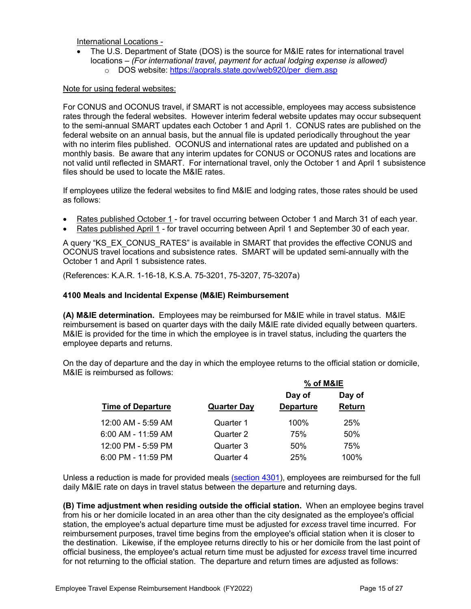International Locations -

• The U.S. Department of State (DOS) is the source for M&IE rates for international travel locations – *(For international travel, payment for actual lodging expense is allowed)* o DOS website: [https://aoprals.state.gov/web920/per\\_diem.asp](https://aoprals.state.gov/web920/per_diem.asp)

Note for using federal websites:

For CONUS and OCONUS travel, if SMART is not accessible, employees may access subsistence rates through the federal websites. However interim federal website updates may occur subsequent to the semi-annual SMART updates each October 1 and April 1. CONUS rates are published on the federal website on an annual basis, but the annual file is updated periodically throughout the year with no interim files published. OCONUS and international rates are updated and published on a monthly basis. Be aware that any interim updates for CONUS or OCONUS rates and locations are not valid until reflected in SMART. For international travel, only the October 1 and April 1 subsistence files should be used to locate the M&IE rates.

If employees utilize the federal websites to find M&IE and lodging rates, those rates should be used as follows:

- Rates published October 1 for travel occurring between October 1 and March 31 of each year.
- Rates published April 1 for travel occurring between April 1 and September 30 of each year.

A query "KS\_EX\_CONUS\_RATES" is available in SMART that provides the effective CONUS and OCONUS travel locations and subsistence rates. SMART will be updated semi-annually with the October 1 and April 1 subsistence rates.

(References: K.A.R. 1-16-18, K.S.A. 75-3201, 75-3207, 75-3207a)

#### **4100 Meals and Incidental Expense (M&IE) Reimbursement**

**(A) M&IE determination.** Employees may be reimbursed for M&IE while in travel status. M&IE reimbursement is based on quarter days with the daily M&IE rate divided equally between quarters. M&IE is provided for the time in which the employee is in travel status, including the quarters the employee departs and returns.

On the day of departure and the day in which the employee returns to the official station or domicile, M&IE is reimbursed as follows:

<span id="page-14-0"></span>**% of M&IE**

|                          |                    | % OT M&IE        |        |
|--------------------------|--------------------|------------------|--------|
|                          |                    | Day of           | Day of |
| <b>Time of Departure</b> | <b>Quarter Day</b> | <b>Departure</b> | Return |
| 12:00 AM - 5:59 AM       | Quarter 1          | 100%             | 25%    |
| $6:00$ AM - 11:59 AM     | Quarter 2          | 75%              | 50%    |
| 12:00 PM - 5:59 PM       | Quarter 3          | 50%              | 75%    |
| 6:00 PM - 11:59 PM       | Quarter 4          | 25%              | 100%   |

Unless a reduction is made for provided meals [\(section 4301\)](#page-18-1), employees are reimbursed for the full daily M&IE rate on days in travel status between the departure and returning days.

<span id="page-14-1"></span>**(B) Time adjustment when residing outside the official station.** When an employee begins travel from his or her domicile located in an area other than the city designated as the employee's official station, the employee's actual departure time must be adjusted for *excess* travel time incurred. For reimbursement purposes, travel time begins from the employee's official station when it is closer to the destination. Likewise, if the employee returns directly to his or her domicile from the last point of official business, the employee's actual return time must be adjusted for *excess* travel time incurred for not returning to the official station. The departure and return times are adjusted as follows: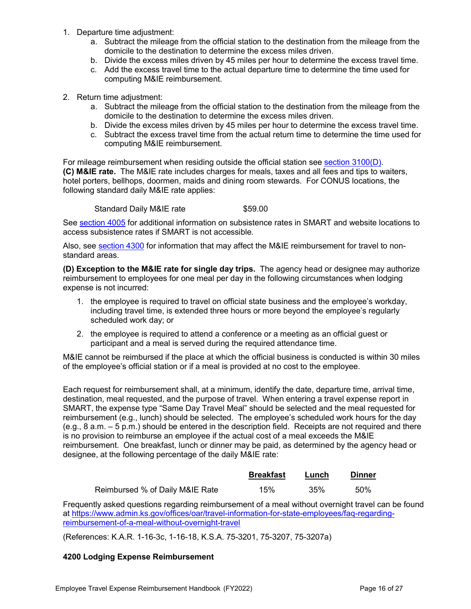- 1. Departure time adjustment:
	- a. Subtract the mileage from the official station to the destination from the mileage from the domicile to the destination to determine the excess miles driven.
	- b. Divide the excess miles driven by 45 miles per hour to determine the excess travel time.
	- c. Add the excess travel time to the actual departure time to determine the time used for computing M&IE reimbursement.
- 2. Return time adjustment:
	- a. Subtract the mileage from the official station to the destination from the mileage from the domicile to the destination to determine the excess miles driven.
	- b. Divide the excess miles driven by 45 miles per hour to determine the excess travel time.
	- c. Subtract the excess travel time from the actual return time to determine the time used for computing M&IE reimbursement.

For mileage reimbursement when residing outside the official station see [section 3100\(D\).](#page-8-2) **(C) M&IE rate.** The M&IE rate includes charges for meals, taxes and all fees and tips to waiters, hotel porters, bellhops, doormen, maids and dining room stewards. For CONUS locations, the following standard daily M&IE rate applies:

Standard Daily M&IE rate \$59.00

See [section 4005](#page-13-3) for additional information on subsistence rates in SMART and website locations to access subsistence rates if SMART is not accessible.

Also, see [section 4300](#page-18-0) for information that may affect the M&IE reimbursement for travel to nonstandard areas.

<span id="page-15-1"></span>**(D) Exception to the M&IE rate for single day trips.** The agency head or designee may authorize reimbursement to employees for one meal per day in the following circumstances when lodging expense is not incurred:

- 1. the employee is required to travel on official state business and the employee's workday, including travel time, is extended three hours or more beyond the employee's regularly scheduled work day; or
- 2. the employee is required to attend a conference or a meeting as an official guest or participant and a meal is served during the required attendance time.

M&IE cannot be reimbursed if the place at which the official business is conducted is within 30 miles of the employee's official station or if a meal is provided at no cost to the employee.

Each request for reimbursement shall, at a minimum, identify the date, departure time, arrival time, destination, meal requested, and the purpose of travel. When entering a travel expense report in SMART, the expense type "Same Day Travel Meal" should be selected and the meal requested for reimbursement (e.g., lunch) should be selected. The employee's scheduled work hours for the day (e.g., 8 a.m. – 5 p.m.) should be entered in the description field. Receipts are not required and there is no provision to reimburse an employee if the actual cost of a meal exceeds the M&IE reimbursement. One breakfast, lunch or dinner may be paid, as determined by the agency head or designee, at the following percentage of the daily M&IE rate:

<span id="page-15-0"></span>

|                                 | <b>Breakfast</b> | Lunch | <b>Dinner</b> |
|---------------------------------|------------------|-------|---------------|
| Reimbursed % of Daily M&IE Rate | 15%              | 35%   | .50%          |

Frequently asked questions regarding reimbursement of a meal without overnight travel can be found at [https://www.admin.ks.gov/offices/oar/travel-information-for-state-employees/faq-regarding](https://www.admin.ks.gov/offices/oar/travel-information-for-state-employees/faq-regarding-reimbursement-of-a-meal-without-overnight-travel)[reimbursement-of-a-meal-without-overnight-travel](https://www.admin.ks.gov/offices/oar/travel-information-for-state-employees/faq-regarding-reimbursement-of-a-meal-without-overnight-travel)

(References: K.A.R. 1-16-3c, 1-16-18, K.S.A. 75-3201, 75-3207, 75-3207a)

# **4200 Lodging Expense Reimbursement**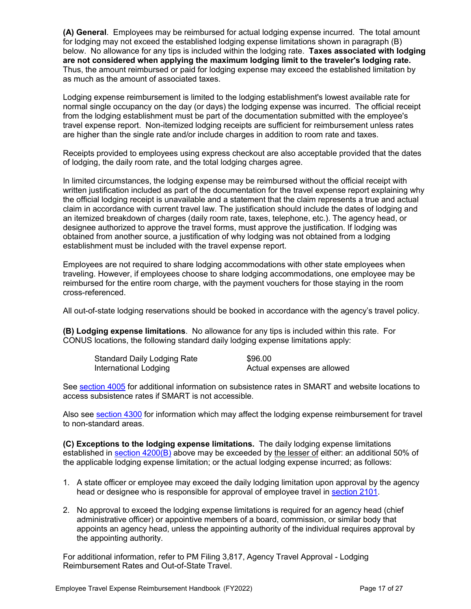**(A) General**. Employees may be reimbursed for actual lodging expense incurred. The total amount for lodging may not exceed the established lodging expense limitations shown in paragraph (B) below. No allowance for any tips is included within the lodging rate. **Taxes associated with lodging are not considered when applying the maximum lodging limit to the traveler's lodging rate.** Thus, the amount reimbursed or paid for lodging expense may exceed the established limitation by as much as the amount of associated taxes.

Lodging expense reimbursement is limited to the lodging establishment's lowest available rate for normal single occupancy on the day (or days) the lodging expense was incurred. The official receipt from the lodging establishment must be part of the documentation submitted with the employee's travel expense report. Non-itemized lodging receipts are sufficient for reimbursement unless rates are higher than the single rate and/or include charges in addition to room rate and taxes.

Receipts provided to employees using express checkout are also acceptable provided that the dates of lodging, the daily room rate, and the total lodging charges agree.

In limited circumstances, the lodging expense may be reimbursed without the official receipt with written justification included as part of the documentation for the travel expense report explaining why the official lodging receipt is unavailable and a statement that the claim represents a true and actual claim in accordance with current travel law. The justification should include the dates of lodging and an itemized breakdown of charges (daily room rate, taxes, telephone, etc.). The agency head, or designee authorized to approve the travel forms, must approve the justification. If lodging was obtained from another source, a justification of why lodging was not obtained from a lodging establishment must be included with the travel expense report.

Employees are not required to share lodging accommodations with other state employees when traveling. However, if employees choose to share lodging accommodations, one employee may be reimbursed for the entire room charge, with the payment vouchers for those staying in the room cross-referenced.

All out-of-state lodging reservations should be booked in accordance with the agency's travel policy.

**(B) Lodging expense limitations**. No allowance for any tips is included within this rate. For CONUS locations, the following standard daily lodging expense limitations apply:

<span id="page-16-0"></span>

| Standard Daily Lodging Rate | \$96.00                     |
|-----------------------------|-----------------------------|
| International Lodging       | Actual expenses are allowed |

See [section 4005](#page-13-3) for additional information on subsistence rates in SMART and website locations to access subsistence rates if SMART is not accessible.

Also see [section 4300](#page-18-0) for information which may affect the lodging expense reimbursement for travel to non-standard areas.

<span id="page-16-1"></span>**(C) Exceptions to the lodging expense limitations.** The daily lodging expense limitations established in section  $4200(B)$  above may be exceeded by the lesser of either: an additional 50% of the applicable lodging expense limitation; or the actual lodging expense incurred; as follows:

- 1. A state officer or employee may exceed the daily lodging limitation upon approval by the agency head or designee who is responsible for approval of employee travel in [section 2101.](#page-4-3)
- 2. No approval to exceed the lodging expense limitations is required for an agency head (chief administrative officer) or appointive members of a board, commission, or similar body that appoints an agency head, unless the appointing authority of the individual requires approval by the appointing authority.

For additional information, refer to PM Filing 3,817, Agency Travel Approval - Lodging Reimbursement Rates and Out-of-State Travel.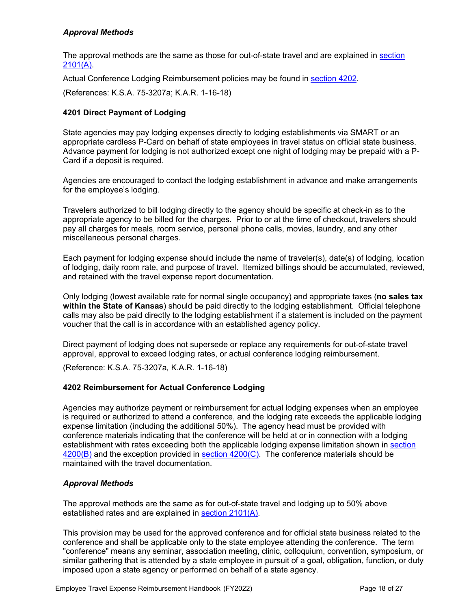# *Approval Methods*

The approval methods are the same as those for out-of-state travel and are explained in [section](#page-4-4)  [2101\(A\).](#page-4-4)

Actual Conference Lodging Reimbursement policies may be found in [section 4202.](#page-17-1)

<span id="page-17-0"></span>(References: K.S.A. 75-3207a; K.A.R. 1-16-18)

# **4201 Direct Payment of Lodging**

State agencies may pay lodging expenses directly to lodging establishments via SMART or an appropriate cardless P-Card on behalf of state employees in travel status on official state business. Advance payment for lodging is not authorized except one night of lodging may be prepaid with a P-Card if a deposit is required.

Agencies are encouraged to contact the lodging establishment in advance and make arrangements for the employee's lodging.

Travelers authorized to bill lodging directly to the agency should be specific at check-in as to the appropriate agency to be billed for the charges. Prior to or at the time of checkout, travelers should pay all charges for meals, room service, personal phone calls, movies, laundry, and any other miscellaneous personal charges.

Each payment for lodging expense should include the name of traveler(s), date(s) of lodging, location of lodging, daily room rate, and purpose of travel. Itemized billings should be accumulated, reviewed, and retained with the travel expense report documentation.

Only lodging (lowest available rate for normal single occupancy) and appropriate taxes (**no sales tax within the State of Kansas**) should be paid directly to the lodging establishment. Official telephone calls may also be paid directly to the lodging establishment if a statement is included on the payment voucher that the call is in accordance with an established agency policy.

Direct payment of lodging does not supersede or replace any requirements for out-of-state travel approval, approval to exceed lodging rates, or actual conference lodging reimbursement.

<span id="page-17-1"></span>(Reference: K.S.A. 75-3207a*,* K.A.R. 1-16-18)

# **4202 Reimbursement for Actual Conference Lodging**

Agencies may authorize payment or reimbursement for actual lodging expenses when an employee is required or authorized to attend a conference, and the lodging rate exceeds the applicable lodging expense limitation (including the additional 50%). The agency head must be provided with conference materials indicating that the conference will be held at or in connection with a lodging establishment with rates exceeding both the applicable lodging expense limitation shown in [section](#page-16-0)   $4200(B)$  and the exception provided in section  $4200(C)$ . The conference materials should be maintained with the travel documentation.

# *Approval Methods*

The approval methods are the same as for out-of-state travel and lodging up to 50% above established rates and are explained in [section 2101\(A\).](#page-4-4)

This provision may be used for the approved conference and for official state business related to the conference and shall be applicable only to the state employee attending the conference. The term "conference" means any seminar, association meeting, clinic, colloquium, convention, symposium, or similar gathering that is attended by a state employee in pursuit of a goal, obligation, function, or duty imposed upon a state agency or performed on behalf of a state agency.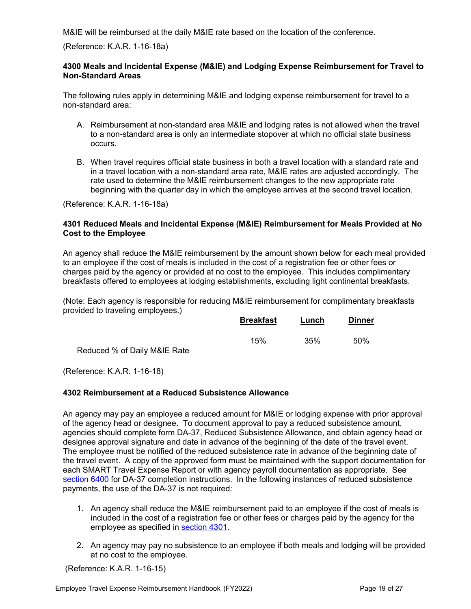M&IE will be reimbursed at the daily M&IE rate based on the location of the conference.

(Reference: K.A.R. 1-16-18a)

### <span id="page-18-0"></span>**4300 Meals and Incidental Expense (M&IE) and Lodging Expense Reimbursement for Travel to Non-Standard Areas**

The following rules apply in determining M&IE and lodging expense reimbursement for travel to a non-standard area:

- A. Reimbursement at non-standard area M&IE and lodging rates is not allowed when the travel to a non-standard area is only an intermediate stopover at which no official state business occurs.
- <span id="page-18-1"></span>B. When travel requires official state business in both a travel location with a standard rate and in a travel location with a non-standard area rate, M&IE rates are adjusted accordingly. The rate used to determine the M&IE reimbursement changes to the new appropriate rate beginning with the quarter day in which the employee arrives at the second travel location.

(Reference: K.A.R. 1-16-18a)

# **4301 Reduced Meals and Incidental Expense (M&IE) Reimbursement for Meals Provided at No Cost to the Employee**

An agency shall reduce the M&IE reimbursement by the amount shown below for each meal provided to an employee if the cost of meals is included in the cost of a registration fee or other fees or charges paid by the agency or provided at no cost to the employee. This includes complimentary breakfasts offered to employees at lodging establishments, excluding light continental breakfasts.

(Note: Each agency is responsible for reducing M&IE reimbursement for complimentary breakfasts provided to traveling employees.)

|                              | <b>Breakfast</b> | Lunch | <b>Dinner</b> |
|------------------------------|------------------|-------|---------------|
|                              | 15%              | 35%   | 50%           |
| Reduced % of Daily M&IE Rate |                  |       |               |

<span id="page-18-2"></span>(Reference: K.A.R. 1-16-18)

# **4302 Reimbursement at a Reduced Subsistence Allowance**

An agency may pay an employee a reduced amount for M&IE or lodging expense with prior approval of the agency head or designee. To document approval to pay a reduced subsistence amount, agencies should complete form DA-37, Reduced Subsistence Allowance, and obtain agency head or designee approval signature and date in advance of the beginning of the date of the travel event. The employee must be notified of the reduced subsistence rate in advance of the beginning date of the travel event. A copy of the approved form must be maintained with the support documentation for each SMART Travel Expense Report or with agency payroll documentation as appropriate. See [section 6400](#page-22-2) for DA-37 completion instructions. In the following instances of reduced subsistence payments, the use of the DA-37 is not required:

- 1. An agency shall reduce the M&IE reimbursement paid to an employee if the cost of meals is included in the cost of a registration fee or other fees or charges paid by the agency for the employee as specified in [section 4301.](#page-18-1)
- 2. An agency may pay no subsistence to an employee if both meals and lodging will be provided at no cost to the employee.

(Reference: K.A.R. 1-16-15)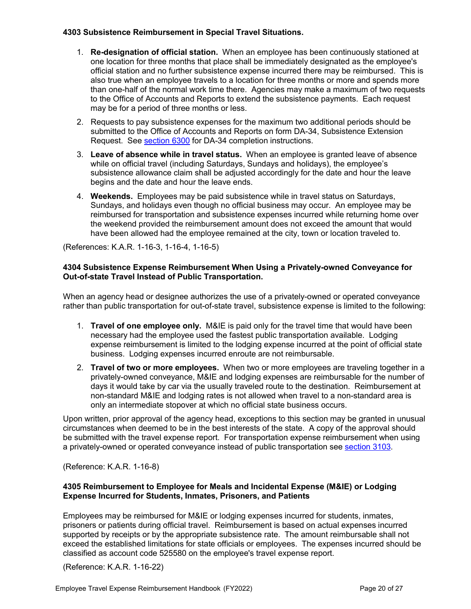# <span id="page-19-0"></span>**4303 Subsistence Reimbursement in Special Travel Situations.**

- 1. **Re-designation of official station.** When an employee has been continuously stationed at one location for three months that place shall be immediately designated as the employee's official station and no further subsistence expense incurred there may be reimbursed. This is also true when an employee travels to a location for three months or more and spends more than one-half of the normal work time there. Agencies may make a maximum of two requests to the Office of Accounts and Reports to extend the subsistence payments. Each request may be for a period of three months or less.
- 2. Requests to pay subsistence expenses for the maximum two additional periods should be submitted to the Office of Accounts and Reports on form DA-34, Subsistence Extension Request. See [section 6300](#page-22-1) for DA-34 completion instructions.
- 3. **Leave of absence while in travel status.** When an employee is granted leave of absence while on official travel (including Saturdays, Sundays and holidays), the employee's subsistence allowance claim shall be adjusted accordingly for the date and hour the leave begins and the date and hour the leave ends.
- <span id="page-19-1"></span>4. **Weekends.** Employees may be paid subsistence while in travel status on Saturdays, Sundays, and holidays even though no official business may occur. An employee may be reimbursed for transportation and subsistence expenses incurred while returning home over the weekend provided the reimbursement amount does not exceed the amount that would have been allowed had the employee remained at the city, town or location traveled to.

(References: K.A.R. 1-16-3, 1-16-4, 1-16-5)

# **4304 Subsistence Expense Reimbursement When Using a Privately-owned Conveyance for Out-of-state Travel Instead of Public Transportation.**

When an agency head or designee authorizes the use of a privately-owned or operated conveyance rather than public transportation for out-of-state travel, subsistence expense is limited to the following:

- 1. **Travel of one employee only.** M&IE is paid only for the travel time that would have been necessary had the employee used the fastest public transportation available. Lodging expense reimbursement is limited to the lodging expense incurred at the point of official state business. Lodging expenses incurred enroute are not reimbursable.
- 2. **Travel of two or more employees.** When two or more employees are traveling together in a privately-owned conveyance, M&IE and lodging expenses are reimbursable for the number of days it would take by car via the usually traveled route to the destination. Reimbursement at non-standard M&IE and lodging rates is not allowed when travel to a non-standard area is only an intermediate stopover at which no official state business occurs.

Upon written, prior approval of the agency head, exceptions to this section may be granted in unusual circumstances when deemed to be in the best interests of the state. A copy of the approval should be submitted with the travel expense report. For transportation expense reimbursement when using a privately-owned or operated conveyance instead of public transportation see [section 3103.](#page-9-1)

(Reference: K.A.R. 1-16-8)

# <span id="page-19-2"></span>**4305 Reimbursement to Employee for Meals and Incidental Expense (M&IE) or Lodging Expense Incurred for Students, Inmates, Prisoners, and Patients**

Employees may be reimbursed for M&IE or lodging expenses incurred for students, inmates, prisoners or patients during official travel. Reimbursement is based on actual expenses incurred supported by receipts or by the appropriate subsistence rate. The amount reimbursable shall not exceed the established limitations for state officials or employees. The expenses incurred should be classified as account code 525580 on the employee's travel expense report.

(Reference: K.A.R. 1-16-22)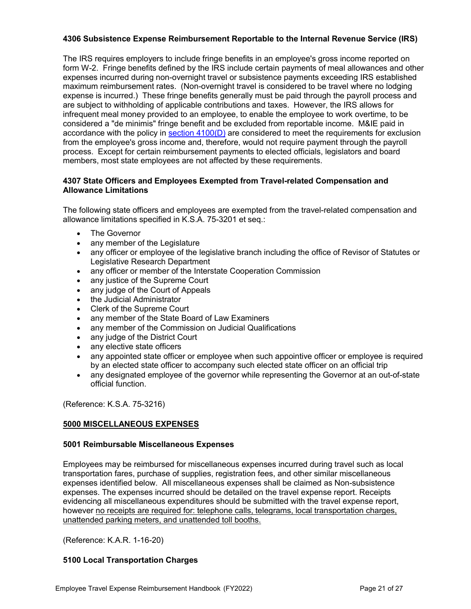# <span id="page-20-0"></span>**4306 Subsistence Expense Reimbursement Reportable to the Internal Revenue Service (IRS)**

The IRS requires employers to include fringe benefits in an employee's gross income reported on form W-2. Fringe benefits defined by the IRS include certain payments of meal allowances and other expenses incurred during non-overnight travel or subsistence payments exceeding IRS established maximum reimbursement rates. (Non-overnight travel is considered to be travel where no lodging expense is incurred.) These fringe benefits generally must be paid through the payroll process and are subject to withholding of applicable contributions and taxes. However, the IRS allows for infrequent meal money provided to an employee, to enable the employee to work overtime, to be considered a "de minimis" fringe benefit and be excluded from reportable income. M&IE paid in accordance with the policy in section  $4100(D)$  are considered to meet the requirements for exclusion from the employee's gross income and, therefore, would not require payment through the payroll process. Except for certain reimbursement payments to elected officials, legislators and board members, most state employees are not affected by these requirements.

# **4307 State Officers and Employees Exempted from Travel-related Compensation and Allowance Limitations**

The following state officers and employees are exempted from the travel-related compensation and allowance limitations specified in K.S.A. 75-3201 et seq.:

- <span id="page-20-1"></span>• The Governor
- any member of the Legislature
- any officer or employee of the legislative branch including the office of Revisor of Statutes or Legislative Research Department
- any officer or member of the Interstate Cooperation Commission
- any justice of the Supreme Court
- any judge of the Court of Appeals
- the Judicial Administrator
- Clerk of the Supreme Court
- any member of the State Board of Law Examiners
- any member of the Commission on Judicial Qualifications
- any judge of the District Court
- any elective state officers
- any appointed state officer or employee when such appointive officer or employee is required by an elected state officer to accompany such elected state officer on an official trip
- <span id="page-20-2"></span>• any designated employee of the governor while representing the Governor at an out-of-state official function.

(Reference: K.S.A. 75-3216)

# **5000 MISCELLANEOUS EXPENSES**

# <span id="page-20-3"></span>**5001 Reimbursable Miscellaneous Expenses**

Employees may be reimbursed for miscellaneous expenses incurred during travel such as local transportation fares, purchase of supplies, registration fees, and other similar miscellaneous expenses identified below. All miscellaneous expenses shall be claimed as Non-subsistence expenses. The expenses incurred should be detailed on the travel expense report. Receipts evidencing all miscellaneous expenditures should be submitted with the travel expense report, however no receipts are required for: telephone calls, telegrams, local transportation charges, unattended parking meters, and unattended toll booths.

(Reference: K.A.R. 1-16-20)

# <span id="page-20-4"></span>**5100 Local Transportation Charges**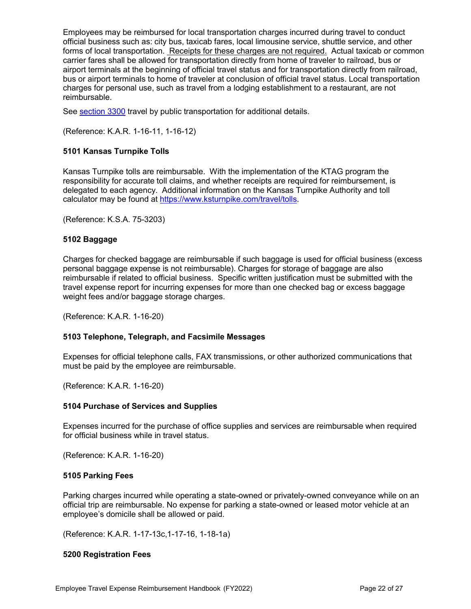Employees may be reimbursed for local transportation charges incurred during travel to conduct official business such as: city bus, taxicab fares, local limousine service, shuttle service, and other forms of local transportation. Receipts for these charges are not required. Actual taxicab or common carrier fares shall be allowed for transportation directly from home of traveler to railroad, bus or airport terminals at the beginning of official travel status and for transportation directly from railroad, bus or airport terminals to home of traveler at conclusion of official travel status. Local transportation charges for personal use, such as travel from a lodging establishment to a restaurant, are not reimbursable.

See [section 3300](#page-10-2) travel by public transportation for additional details.

<span id="page-21-0"></span>(Reference: K.A.R. 1-16-11, 1-16-12)

# **5101 Kansas Turnpike Tolls**

Kansas Turnpike tolls are reimbursable. With the implementation of the KTAG program the responsibility for accurate toll claims, and whether receipts are required for reimbursement, is delegated to each agency. Additional information on the Kansas Turnpike Authority and toll calculator may be found at [https://www.ksturnpike.com/travel/tolls.](https://www.ksturnpike.com/travel/tolls)

<span id="page-21-1"></span>(Reference: K.S.A. 75-3203)

# **5102 Baggage**

Charges for checked baggage are reimbursable if such baggage is used for official business (excess personal baggage expense is not reimbursable). Charges for storage of baggage are also reimbursable if related to official business. Specific written justification must be submitted with the travel expense report for incurring expenses for more than one checked bag or excess baggage weight fees and/or baggage storage charges.

(Reference: K.A.R. 1-16-20)

# <span id="page-21-2"></span>**5103 Telephone, Telegraph, and Facsimile Messages**

Expenses for official telephone calls, FAX transmissions, or other authorized communications that must be paid by the employee are reimbursable.

(Reference: K.A.R. 1-16-20)

#### <span id="page-21-3"></span>**5104 Purchase of Services and Supplies**

Expenses incurred for the purchase of office supplies and services are reimbursable when required for official business while in travel status.

(Reference: K.A.R. 1-16-20)

#### <span id="page-21-4"></span>**5105 Parking Fees**

Parking charges incurred while operating a state-owned or privately-owned conveyance while on an official trip are reimbursable. No expense for parking a state-owned or leased motor vehicle at an employee's domicile shall be allowed or paid.

(Reference: K.A.R. 1-17-13c,1-17-16, 1-18-1a)

# <span id="page-21-5"></span>**5200 Registration Fees**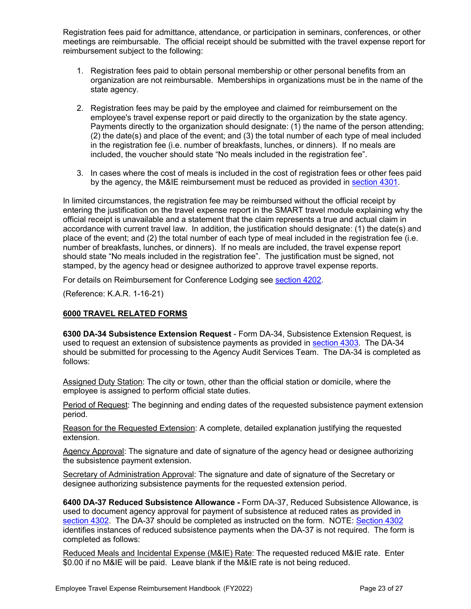Registration fees paid for admittance, attendance, or participation in seminars, conferences, or other meetings are reimbursable. The official receipt should be submitted with the travel expense report for reimbursement subject to the following:

- 1. Registration fees paid to obtain personal membership or other personal benefits from an organization are not reimbursable. Memberships in organizations must be in the name of the state agency.
- 2. Registration fees may be paid by the employee and claimed for reimbursement on the employee's travel expense report or paid directly to the organization by the state agency. Payments directly to the organization should designate: (1) the name of the person attending; (2) the date(s) and place of the event; and (3) the total number of each type of meal included in the registration fee (i.e. number of breakfasts, lunches, or dinners). If no meals are included, the voucher should state "No meals included in the registration fee".
- 3. In cases where the cost of meals is included in the cost of registration fees or other fees paid by the agency, the M&IE reimbursement must be reduced as provided in [section 4301.](#page-18-1)

In limited circumstances, the registration fee may be reimbursed without the official receipt by entering the justification on the travel expense report in the SMART travel module explaining why the official receipt is unavailable and a statement that the claim represents a true and actual claim in accordance with current travel law. In addition, the justification should designate: (1) the date(s) and place of the event; and (2) the total number of each type of meal included in the registration fee (i.e. number of breakfasts, lunches, or dinners). If no meals are included, the travel expense report should state "No meals included in the registration fee". The justification must be signed, not stamped, by the agency head or designee authorized to approve travel expense reports.

For details on Reimbursement for Conference Lodging see [section 4202.](#page-17-1)

<span id="page-22-0"></span>(Reference: K.A.R. 1-16-21)

# **6000 TRAVEL RELATED FORMS**

<span id="page-22-1"></span>**6300 DA-34 Subsistence Extension Request** - Form DA-34, Subsistence Extension Request, is used to request an extension of subsistence payments as provided in [section 4303.](#page-19-0) The DA-34 should be submitted for processing to the Agency Audit Services Team. The DA-34 is completed as follows:

Assigned Duty Station: The city or town, other than the official station or domicile, where the employee is assigned to perform official state duties.

Period of Request: The beginning and ending dates of the requested subsistence payment extension period.

Reason for the Requested Extension: A complete, detailed explanation justifying the requested extension.

Agency Approval: The signature and date of signature of the agency head or designee authorizing the subsistence payment extension.

Secretary of Administration Approval: The signature and date of signature of the Secretary or designee authorizing subsistence payments for the requested extension period.

<span id="page-22-2"></span>**6400 DA-37 Reduced Subsistence Allowance -** Form DA-37, Reduced Subsistence Allowance, is used to document agency approval for payment of subsistence at reduced rates as provided in [section 4302.](#page-18-2) The DA-37 should be completed as instructed on the form. NOTE: [Section 4302](#page-18-2) identifies instances of reduced subsistence payments when the DA-37 is not required. The form is completed as follows:

Reduced Meals and Incidental Expense (M&IE) Rate: The requested reduced M&IE rate. Enter \$0.00 if no M&IE will be paid. Leave blank if the M&IE rate is not being reduced.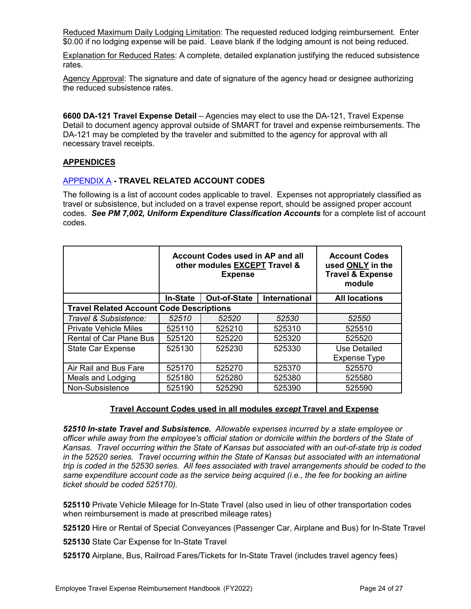Reduced Maximum Daily Lodging Limitation: The requested reduced lodging reimbursement. Enter \$0.00 if no lodging expense will be paid. Leave blank if the lodging amount is not being reduced.

Explanation for Reduced Rates: A complete, detailed explanation justifying the reduced subsistence rates.

Agency Approval: The signature and date of signature of the agency head or designee authorizing the reduced subsistence rates.

<span id="page-23-0"></span>**6600 DA-121 Travel Expense Detail** – Agencies may elect to use the DA-121, Travel Expense Detail to document agency approval outside of SMART for travel and expense reimbursements. The DA-121 may be completed by the traveler and submitted to the agency for approval with all necessary travel receipts.

# <span id="page-23-1"></span>**APPENDICES**

#### [APPENDIX A](#page-23-1) **- TRAVEL RELATED ACCOUNT CODES**

The following is a list of account codes applicable to travel. Expenses not appropriately classified as travel or subsistence, but included on a travel expense report, should be assigned proper account codes. *See PM 7,002, Uniform Expenditure Classification Accounts* for a complete list of account codes.

|                                                 | <b>Account Codes used in AP and all</b><br>other modules EXCEPT Travel &<br><b>Expense</b> |                     |               | <b>Account Codes</b><br>used ONLY in the<br><b>Travel &amp; Expense</b><br>module |
|-------------------------------------------------|--------------------------------------------------------------------------------------------|---------------------|---------------|-----------------------------------------------------------------------------------|
|                                                 | <b>In-State</b>                                                                            | <b>Out-of-State</b> | International | <b>All locations</b>                                                              |
| <b>Travel Related Account Code Descriptions</b> |                                                                                            |                     |               |                                                                                   |
| Travel & Subsistence:                           | 52510                                                                                      | 52520               | 52530         | 52550                                                                             |
| <b>Private Vehicle Miles</b>                    | 525110                                                                                     | 525210              | 525310        | 525510                                                                            |
| <b>Rental of Car Plane Bus</b>                  | 525120                                                                                     | 525220              | 525320        | 525520                                                                            |
| <b>State Car Expense</b>                        | 525130                                                                                     | 525230              | 525330        | Use Detailed                                                                      |
|                                                 |                                                                                            |                     |               | <b>Expense Type</b>                                                               |
| Air Rail and Bus Fare                           | 525170                                                                                     | 525270              | 525370        | 525570                                                                            |
| Meals and Lodging                               | 525180                                                                                     | 525280              | 525380        | 525580                                                                            |
| Non-Subsistence                                 | 525190                                                                                     | 525290              | 525390        | 525590                                                                            |

# **Travel Account Codes used in all modules** *except* **Travel and Expense**

*52510 In-state Travel and Subsistence. Allowable expenses incurred by a state employee or officer while away from the employee's official station or domicile within the borders of the State of Kansas. Travel occurring within the State of Kansas but associated with an out-of-state trip is coded in the 52520 series. Travel occurring within the State of Kansas but associated with an international trip is coded in the 52530 series. All fees associated with travel arrangements should be coded to the same expenditure account code as the service being acquired (i.e., the fee for booking an airline ticket should be coded 525170).*

**525110** Private Vehicle Mileage for In-State Travel (also used in lieu of other transportation codes when reimbursement is made at prescribed mileage rates)

**525120** Hire or Rental of Special Conveyances (Passenger Car, Airplane and Bus) for In-State Travel

**525130** State Car Expense for In-State Travel

**525170** Airplane, Bus, Railroad Fares/Tickets for In-State Travel (includes travel agency fees)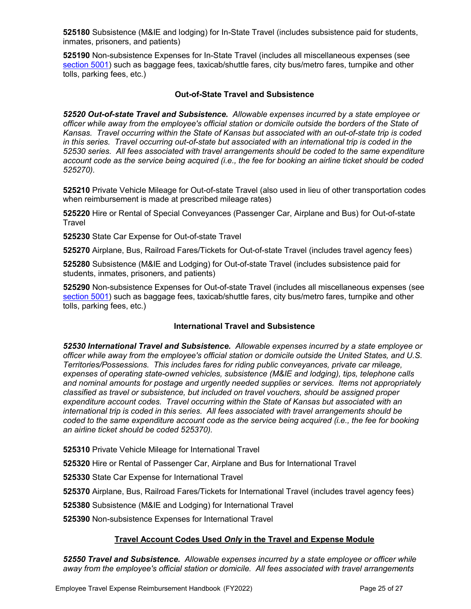**525180** Subsistence (M&IE and lodging) for In-State Travel (includes subsistence paid for students, inmates, prisoners, and patients)

**525190** Non-subsistence Expenses for In-State Travel (includes all miscellaneous expenses (see [section 5001\)](#page-20-3) such as baggage fees, taxicab/shuttle fares, city bus/metro fares, turnpike and other tolls, parking fees, etc.)

# **Out-of-State Travel and Subsistence**

*52520 Out-of-state Travel and Subsistence. Allowable expenses incurred by a state employee or officer while away from the employee's official station or domicile outside the borders of the State of Kansas. Travel occurring within the State of Kansas but associated with an out-of-state trip is coded in this series. Travel occurring out-of-state but associated with an international trip is coded in the 52530 series. All fees associated with travel arrangements should be coded to the same expenditure account code as the service being acquired (i.e., the fee for booking an airline ticket should be coded 525270).*

**525210** Private Vehicle Mileage for Out-of-state Travel (also used in lieu of other transportation codes when reimbursement is made at prescribed mileage rates)

**525220** Hire or Rental of Special Conveyances (Passenger Car, Airplane and Bus) for Out-of-state Travel

**525230** State Car Expense for Out-of-state Travel

**525270** Airplane, Bus, Railroad Fares/Tickets for Out-of-state Travel (includes travel agency fees)

**525280** Subsistence (M&IE and Lodging) for Out-of-state Travel (includes subsistence paid for students, inmates, prisoners, and patients)

**525290** Non-subsistence Expenses for Out-of-state Travel (includes all miscellaneous expenses (see [section 5001\)](#page-20-3) such as baggage fees, taxicab/shuttle fares, city bus/metro fares, turnpike and other tolls, parking fees, etc.)

# **International Travel and Subsistence**

*52530 International Travel and Subsistence. Allowable expenses incurred by a state employee or officer while away from the employee's official station or domicile outside the United States, and U.S. Territories/Possessions. This includes fares for riding public conveyances, private car mileage, expenses of operating state-owned vehicles, subsistence (M&IE and lodging), tips, telephone calls and nominal amounts for postage and urgently needed supplies or services. Items not appropriately classified as travel or subsistence, but included on travel vouchers, should be assigned proper expenditure account codes. Travel occurring within the State of Kansas but associated with an international trip is coded in this series. All fees associated with travel arrangements should be coded to the same expenditure account code as the service being acquired (i.e., the fee for booking an airline ticket should be coded 525370).*

**525310** Private Vehicle Mileage for International Travel

**525320** Hire or Rental of Passenger Car, Airplane and Bus for International Travel

**525330** State Car Expense for International Travel

**525370** Airplane, Bus, Railroad Fares/Tickets for International Travel (includes travel agency fees)

**525380** Subsistence (M&IE and Lodging) for International Travel

**525390** Non-subsistence Expenses for International Travel

# **Travel Account Codes Used** *Only* **in the Travel and Expense Module**

*52550 Travel and Subsistence. Allowable expenses incurred by a state employee or officer while away from the employee's official station or domicile. All fees associated with travel arrangements*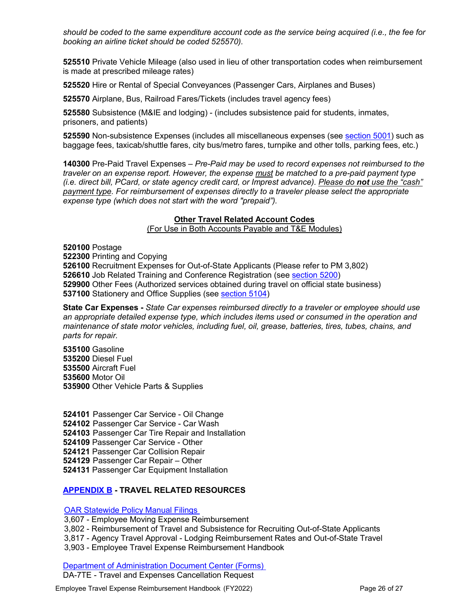*should be coded to the same expenditure account code as the service being acquired (i.e., the fee for booking an airline ticket should be coded 525570).*

**525510** Private Vehicle Mileage (also used in lieu of other transportation codes when reimbursement is made at prescribed mileage rates)

**525520** Hire or Rental of Special Conveyances (Passenger Cars, Airplanes and Buses)

**525570** Airplane, Bus, Railroad Fares/Tickets (includes travel agency fees)

**525580** Subsistence (M&IE and lodging) - (includes subsistence paid for students, inmates, prisoners, and patients)

**525590** Non-subsistence Expenses (includes all miscellaneous expenses (see [section 5001\)](#page-20-3) such as baggage fees, taxicab/shuttle fares, city bus/metro fares, turnpike and other tolls, parking fees, etc.)

**140300** Pre-Paid Travel Expenses – *Pre-Paid may be used to record expenses not reimbursed to the traveler on an expense report. However, the expense must be matched to a pre-paid payment type (i.e. direct bill, PCard, or state agency credit card, or Imprest advance). Please do not use the "cash" payment type. For reimbursement of expenses directly to a traveler please select the appropriate expense type (which does not start with the word "prepaid").*

#### **Other Travel Related Account Codes**

(For Use in Both Accounts Payable and T&E Modules)

**520100** Postage Printing and Copying Recruitment Expenses for Out-of-State Applicants (Please refer to PM 3,802) Job Related Training and Conference Registration (see [section 5200\)](#page-21-5) Other Fees (Authorized services obtained during travel on official state business) Stationery and Office Supplies (see [section 5104\)](#page-21-3)

**State Car Expenses -** *State Car expenses reimbursed directly to a traveler or employee should use an appropriate detailed expense type, which includes items used or consumed in the operation and maintenance of state motor vehicles, including fuel, oil, grease, batteries, tires, tubes, chains, and parts for repair.* 

**535100** Gasoline Diesel Fuel Aircraft Fuel Motor Oil Other Vehicle Parts & Supplies

 Passenger Car Service - Oil Change Passenger Car Service - Car Wash Passenger Car Tire Repair and Installation Passenger Car Service - Other Passenger Car Collision Repair Passenger Car Repair – Other Passenger Car Equipment Installation

# <span id="page-25-0"></span>**[APPENDIX B](#page-25-0) - TRAVEL RELATED RESOURCES**

OAR [Statewide Policy Manual Filings](https://www.admin.ks.gov/offices/oar/policy-manual) 

3,607 - Employee Moving Expense Reimbursement 3,802 - Reimbursement of Travel and Subsistence for Recruiting Out-of-State Applicants

3,817 - Agency Travel Approval - Lodging Reimbursement Rates and Out-of-State Travel

3,903 - Employee Travel Expense Reimbursement Handbook

[Department of Administration Document Center \(Forms\)](http://www.admin.ks.gov/resources/document-center)  DA-7TE - Travel and Expenses Cancellation Request